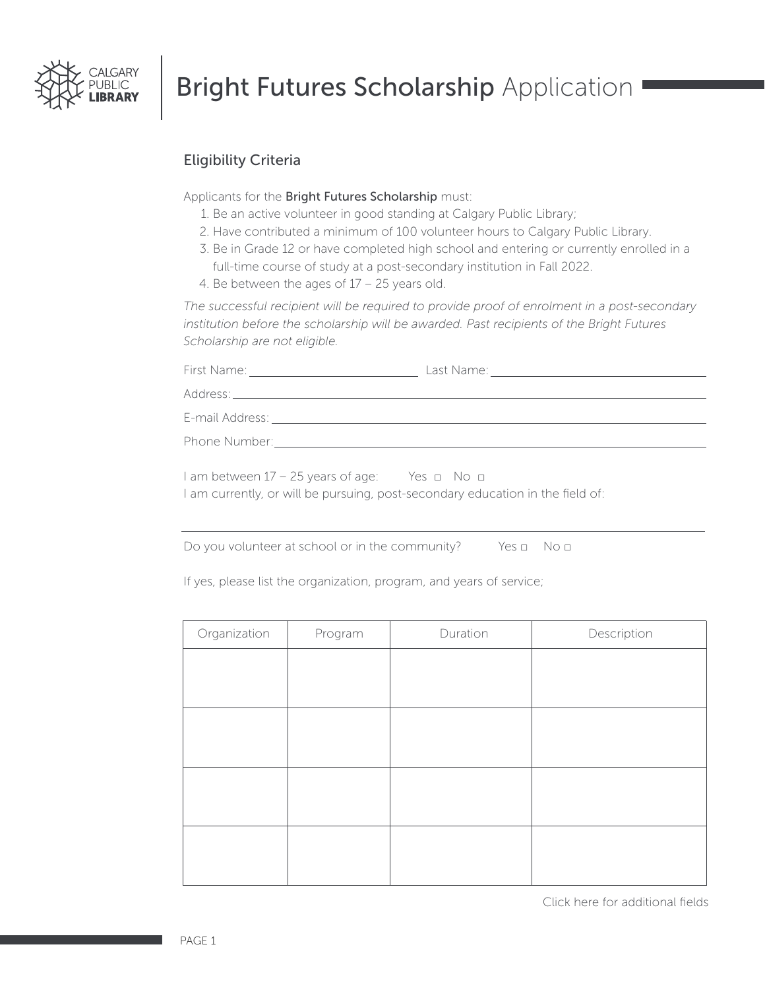

## **Bright Futures Scholarship Application**

### Eligibility Criteria

Applicants for the Bright Futures Scholarship must:

- 1. Be an active volunteer in good standing at Calgary Public Library;
- 2. Have contributed a minimum of 100 volunteer hours to Calgary Public Library.
- 3. Be in Grade 12 or have completed high school and entering or currently enrolled in a full-time course of study at a post-secondary institution in Fall 2022.
- 4. Be between the ages of 17 25 years old.

*The successful recipient will be required to provide proof of enrolment in a post-secondary institution before the scholarship will be awarded. Past recipients of the Bright Futures Scholarship are not eligible.*

| $1$ am between 17 – 25 years of age: Yes $\Box$ No $\Box$<br>I am currently, or will be pursuing, post-secondary education in the field of: |  |
|---------------------------------------------------------------------------------------------------------------------------------------------|--|

Do you volunteer at school or in the community? Yes □ No □

If yes, please list the organization, program, and years of service;

| Organization | Program | Duration | Description |
|--------------|---------|----------|-------------|
|              |         |          |             |
|              |         |          |             |
|              |         |          |             |
|              |         |          |             |
|              |         |          |             |
|              |         |          |             |
|              |         |          |             |
|              |         |          |             |

[Click here for additional fields](#page-2-0)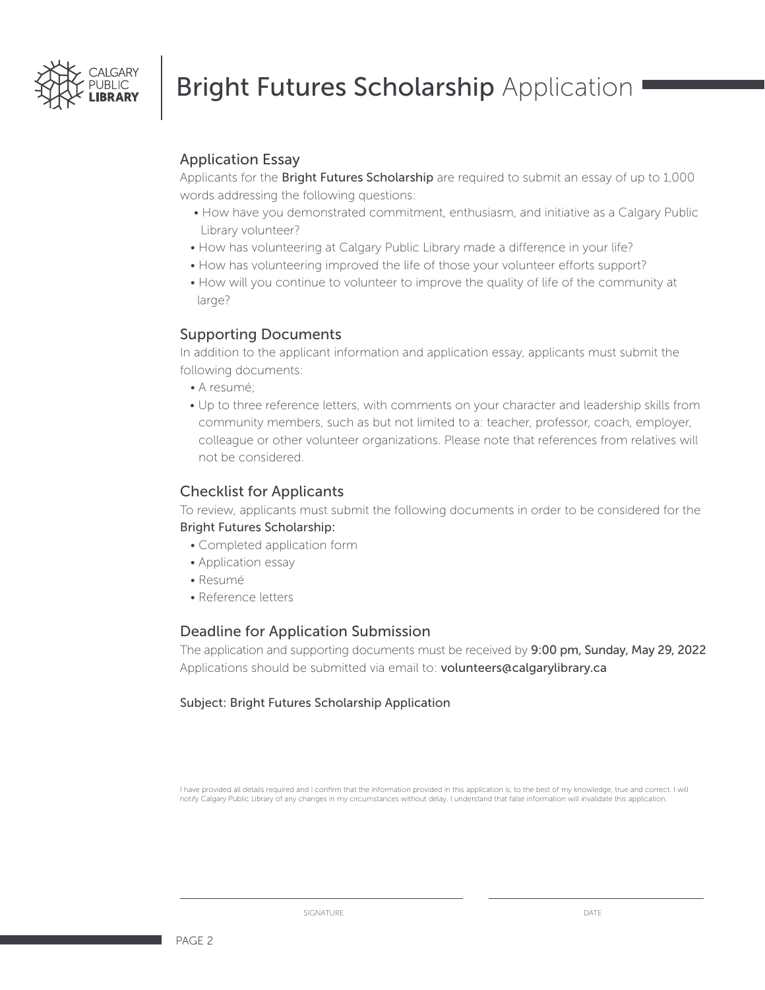

## **Bright Futures Scholarship Application**

#### Application Essay

Applicants for the **Bright Futures Scholarship** are required to submit an essay of up to 1,000 words addressing the following questions:

- How have you demonstrated commitment, enthusiasm, and initiative as a Calgary Public Library volunteer?
- How has volunteering at Calgary Public Library made a difference in your life?
- How has volunteering improved the life of those your volunteer efforts support?
- How will you continue to volunteer to improve the quality of life of the community at large?

#### Supporting Documents

In addition to the applicant information and application essay, applicants must submit the following documents:

- A resumé;
- Up to three reference letters, with comments on your character and leadership skills from community members, such as but not limited to a: teacher, professor, coach, employer, colleague or other volunteer organizations. Please note that references from relatives will not be considered.

#### Checklist for Applicants

To review, applicants must submit the following documents in order to be considered for the Bright Futures Scholarship:

- Completed application form
- Application essay
- Resumé
- Reference letters

#### Deadline for Application Submission

The application and supporting documents must be received by 9:00 pm, Sunday, May 29, 2022 Applications should be submitted via email to: volunteers@calgarylibrary.ca

#### Subject: Bright Futures Scholarship Application

I have provided all details required and I confirm that the information provided in this application is, to the best of my knowledge, true and correct. I will notify Calgary Public Library of any changes in my circumstances without delay. I understand that false information will invalidate this application.